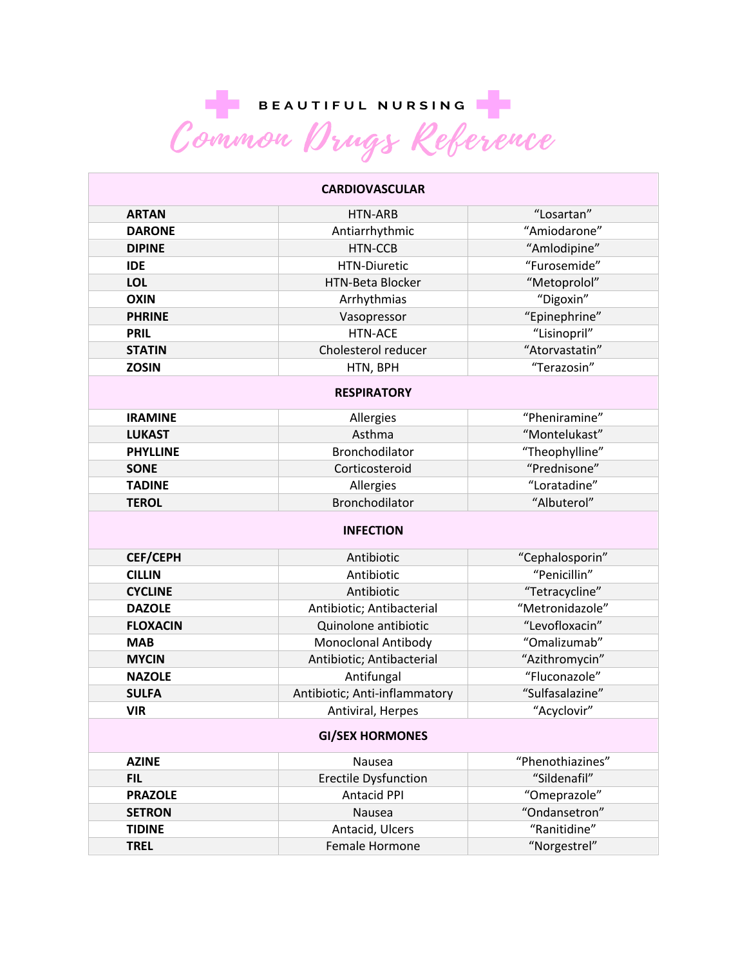BEAUTIFUL NURSING

| <b>CARDIOVASCULAR</b>    |                               |                  |  |  |
|--------------------------|-------------------------------|------------------|--|--|
| <b>ARTAN</b>             | HTN-ARB                       | "Losartan"       |  |  |
| <b>DARONE</b>            | Antiarrhythmic                | "Amiodarone"     |  |  |
| <b>DIPINE</b>            | HTN-CCB                       | "Amlodipine"     |  |  |
| <b>IDE</b>               | <b>HTN-Diuretic</b>           | "Furosemide"     |  |  |
| <b>LOL</b>               | <b>HTN-Beta Blocker</b>       | "Metoprolol"     |  |  |
| <b>OXIN</b>              | Arrhythmias                   | "Digoxin"        |  |  |
| <b>PHRINE</b>            | Vasopressor                   | "Epinephrine"    |  |  |
| <b>PRIL</b>              | <b>HTN-ACE</b>                | "Lisinopril"     |  |  |
| <b>STATIN</b>            | Cholesterol reducer           | "Atorvastatin"   |  |  |
| <b>ZOSIN</b>             | HTN, BPH                      | "Terazosin"      |  |  |
| <b>RESPIRATORY</b>       |                               |                  |  |  |
| <b>IRAMINE</b>           | Allergies                     | "Pheniramine"    |  |  |
| <b>LUKAST</b>            | Asthma                        | "Montelukast"    |  |  |
| <b>PHYLLINE</b>          | <b>Bronchodilator</b>         | "Theophylline"   |  |  |
| <b>SONE</b>              | Corticosteroid                | "Prednisone"     |  |  |
| <b>TADINE</b>            | Allergies                     | "Loratadine"     |  |  |
| <b>TEROL</b>             | Bronchodilator                | "Albuterol"      |  |  |
| (TM)<br><b>INFECTION</b> |                               |                  |  |  |
| <b>CEF/CEPH</b>          | Antibiotic                    | "Cephalosporin"  |  |  |
|                          |                               |                  |  |  |
| <b>CILLIN</b>            | Antibiotic                    | "Penicillin"     |  |  |
| <b>CYCLINE</b>           | Antibiotic                    | "Tetracycline"   |  |  |
| <b>DAZOLE</b>            | Antibiotic; Antibacterial     | "Metronidazole"  |  |  |
| <b>FLOXACIN</b>          | Quinolone antibiotic          | "Levofloxacin"   |  |  |
| <b>MAB</b>               | Monoclonal Antibody           | "Omalizumab"     |  |  |
| <b>MYCIN</b>             | Antibiotic; Antibacterial     | "Azithromycin"   |  |  |
| <b>NAZOLE</b>            | Antifungal                    | "Fluconazole"    |  |  |
| <b>SULFA</b>             | Antibiotic; Anti-inflammatory | "Sulfasalazine"  |  |  |
| <b>VIR</b>               | Antiviral, Herpes             | "Acyclovir"      |  |  |
|                          | <b>GI/SEX HORMONES</b>        |                  |  |  |
| <b>AZINE</b>             | Nausea                        | "Phenothiazines" |  |  |
| <b>FIL</b>               | <b>Erectile Dysfunction</b>   | "Sildenafil"     |  |  |
| <b>PRAZOLE</b>           | <b>Antacid PPI</b>            | "Omeprazole"     |  |  |
| <b>SETRON</b>            | Nausea                        | "Ondansetron"    |  |  |
| <b>TIDINE</b>            | Antacid, Ulcers               | "Ranitidine"     |  |  |